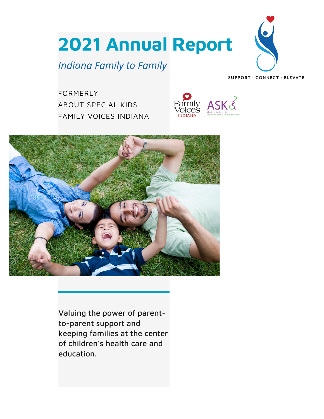**2021 Annual Report**

# *Indiana Family to Family*



SUPPORT · CONNECT · ELEVATE

FORMERLY ABOUT SPECIAL KIDS FAMILY VOICES INDIANA





Valuing the power of parentto-parent support and keeping families at the center of children's health care and education.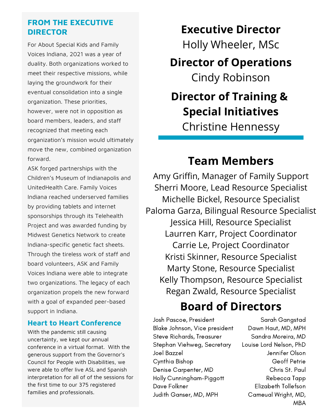### **FROM THE EXECUTIVE DIRECTOR**

For About Special Kids and Family Voices Indiana, 2021 was a year of duality. Both organizations worked to meet their respective missions, while laying the groundwork for their eventual consolidation into a single organization. These priorities, however, were not in opposition as board members, leaders, and staff recognized that meeting each organization's mission would ultimately move the new, combined organization forward.

ASK forged partnerships with the Children's Museum of Indianapolis and UnitedHealth Care. Family Voices Indiana reached underserved families by providing tablets and internet sponsorships through its Telehealth Project and was awarded funding by Midwest Genetics Network to create Indiana-specific genetic fact sheets. Through the tireless work of staff and board volunteers, ASK and Family Voices Indiana were able to integrate two organizations. The legacy of each organization propels the new forward with a goal of expanded peer-based support in Indiana.

#### **Heart to Heart Conference**

With the pandemic still causing uncertainty, we kept our annual conference in a virtual format. With the generous support from the Governor's Council for People with Disabilities, we were able to offer live ASL and Spanish interpretation for all of of the sessions for the first time to our 375 registered families and professionals.

### **Executive Director**

Holly Wheeler, MSc

## **Director of Operations** Cindy Robinson

# **Director of Training & Special Initiatives**

Christine Hennessy

## **Team Members**

Amy Griffin, Manager of Family Support Sherri Moore, Lead Resource Specialist Michelle Bickel, Resource Specialist Paloma Garza, Bilingual Resource Specialist Jessica Hill, Resource Specialist Laurren Karr, Project Coordinator Carrie Le, Project Coordinator Kristi Skinner, Resource Specialist Marty Stone, Resource Specialist Kelly Thompson, Resource Specialist Regan Zwald, Resource Specialist

# **Board of Directors**

Josh Pascoe, President Blake Johnson, Vice president Steve Richards, Treasurer Stephan Viehweg, Secretary Joel Bazzel Cynthia Bishop Denise Carpenter, MD Holly Cunningham-Piggott Dave Folkner Judith Ganser, MD, MPH

Sarah Gangstad Dawn Haut, MD, MPH Sandra Moreira, MD Louise Lord Nelson, PhD Jennifer Olson Geoff Petrie Chris St. Paul Rebecca Tapp Elizabeth Tollefson Cameual Wright, MD, MBA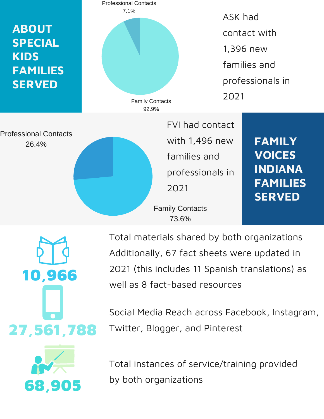

27,561,788 10,966

Total materials shared by both organizations Additionally, 67 fact sheets were updated in 2021 (this includes 11 Spanish translations) as well as 8 fact-based resources

Social Media Reach across Facebook, Instagram, Twitter, Blogger, and Pinterest



Total instances of service/training provided by both organizations